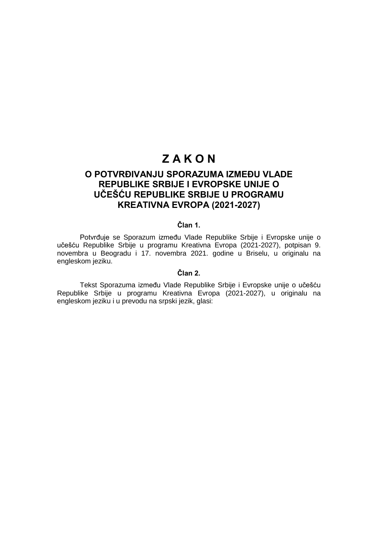# **Z A K O N**

## **O POTVRĐIVANJU SPORAZUMA IZMEĐU VLADE REPUBLIKE SRBIJE I EVROPSKE UNIJE O UČEŠĆU REPUBLIKE SRBIJE U PROGRAMU KREATIVNA EVROPA (2021-2027)**

## **Član 1.**

Potvrđuje se Sporazum između Vlade Republike Srbije i Evropske unije o učešću Republike Srbije u programu Kreativna Evropa (2021-2027), potpisan 9. novembra u Beogradu i 17. novembra 2021. godine u Briselu, u originalu na engleskom jeziku.

## **Član 2.**

Tekst Sporazuma između Vlade Republike Srbije i Evropske unije o učešću Republike Srbije u programu Kreativna Evropa (2021-2027), u originalu na engleskom jeziku i u prevodu na srpski jezik, glasi: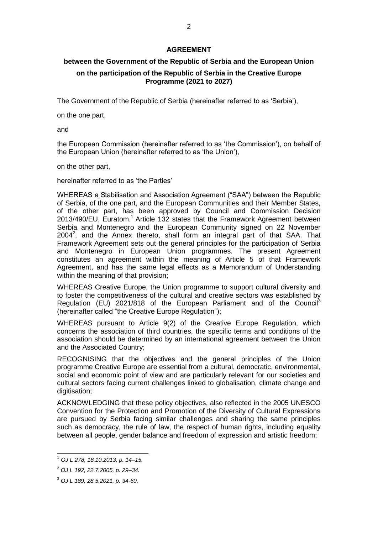## **AGREEMENT**

## **between the Government of the Republic of Serbia and the European Union**

## **on the participation of the Republic of Serbia in the Creative Europe Programme (2021 to 2027)**

The Government of the Republic of Serbia (hereinafter referred to as 'Serbia'),

on the one part,

and

the European Commission (hereinafter referred to as 'the Commission'), on behalf of the European Union (hereinafter referred to as 'the Union'),

on the other part,

hereinafter referred to as 'the Parties'

WHEREAS a Stabilisation and Association Agreement ("SAA") between the Republic of Serbia, of the one part, and the European Communities and their Member States, of the other part, has been approved by Council and Commission Decision 2013/490/EU, Euratom.<sup>1</sup> Article 132 states that the Framework Agreement between Serbia and Montenegro and the European Community signed on 22 November  $2004^2$ , and the Annex thereto, shall form an integral part of that SAA. That Framework Agreement sets out the general principles for the participation of Serbia and Montenegro in European Union programmes. The present Agreement constitutes an agreement within the meaning of Article 5 of that Framework Agreement, and has the same legal effects as a Memorandum of Understanding within the meaning of that provision;

WHEREAS Creative Europe, the Union programme to support cultural diversity and to foster the competitiveness of the cultural and creative sectors was established by Regulation (EU) 2021/818 of the European Parliament and of the Council<sup>3</sup> (hereinafter called "the Creative Europe Regulation");

WHEREAS pursuant to Article 9(2) of the Creative Europe Regulation, which concerns the association of third countries, the specific terms and conditions of the association should be determined by an international agreement between the Union and the Associated Country;

RECOGNISING that the objectives and the general principles of the Union programme Creative Europe are essential from a cultural, democratic, environmental, social and economic point of view and are particularly relevant for our societies and cultural sectors facing current challenges linked to globalisation, climate change and digitisation;

ACKNOWLEDGING that these policy objectives, also reflected in the 2005 UNESCO Convention for the Protection and Promotion of the Diversity of Cultural Expressions are pursued by Serbia facing similar challenges and sharing the same principles such as democracy, the rule of law, the respect of human rights, including equality between all people, gender balance and freedom of expression and artistic freedom;

 $\overline{1}$ 

<sup>1</sup> *OJ L 278, 18.10.2013, p. 14–15.* 

<sup>2</sup> *OJ L 192, 22.7.2005, p. 29–34.*

<sup>3</sup> *OJ L 189, 28.5.2021, p. 34-60.*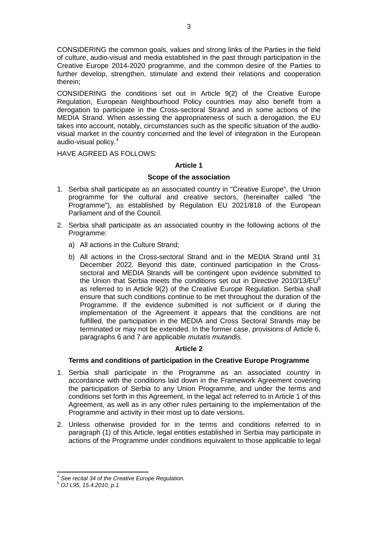CONSIDERING the common goals, values and strong links of the Parties in the field of culture, audio-visual and media established in the past through participation in the Creative Europe 2014-2020 programme, and the common desire of the Parties to further develop, strengthen, stimulate and extend their relations and cooperation therein;

CONSIDERING the conditions set out in Article 9(2) of the Creative Europe Regulation, European Neighbourhood Policy countries may also benefit from a derogation to participate in the Cross-sectoral Strand and in some actions of the MEDIA Strand. When assessing the appropriateness of such a derogation, the EU takes into account, notably, circumstances such as the specific situation of the audiovisual market in the country concerned and the level of integration in the European audio-visual policy.<sup>4</sup>

HAVE AGREED AS FOLLOWS:

### **Article 1**

### **Scope of the association**

- 1. Serbia shall participate as an associated country in "Creative Europe", the Union programme for the cultural and creative sectors, (hereinafter called "the Programme"), as established by Regulation EU 2021/818 of the European Parliament and of the Council.
- 2. Serbia shall participate as an associated country in the following actions of the Programme:
	- a) All actions in the Culture Strand;
	- b) All actions in the Cross-sectoral Strand and in the MEDIA Strand until 31 December 2022. Beyond this date, continued participation in the Crosssectoral and MEDIA Strands will be contingent upon evidence submitted to the Union that Serbia meets the conditions set out in Directive 2010/13/EU<sup>5</sup> as referred to in Article 9(2) of the Creative Europe Regulation. Serbia shall ensure that such conditions continue to be met throughout the duration of the Programme. If the evidence submitted is not sufficient or if during the implementation of the Agreement it appears that the conditions are not fulfilled, the participation in the MEDIA and Cross Sectoral Strands may be terminated or may not be extended. In the former case, provisions of Article 6, paragraphs 6 and 7 are applicable *mutatis mutandis.*

## **Article 2**

### **Terms and conditions of participation in the Creative Europe Programme**

- 1. Serbia shall participate in the Programme as an associated country in accordance with the conditions laid down in the Framework Agreement covering the participation of Serbia to any Union Programme, and under the terms and conditions set forth in this Agreement, in the legal act referred to in Article 1 of this Agreement, as well as in any other rules pertaining to the implementation of the Programme and activity in their most up to date versions.
- 2. Unless otherwise provided for in the terms and conditions referred to in paragraph (1) of this Article, legal entities established in Serbia may participate in actions of the Programme under conditions equivalent to those applicable to legal

 4 *See recital 34 of the Creative Europe Regulation.*

<sup>5</sup> *OJ L95, 15.4.2010, p.1.*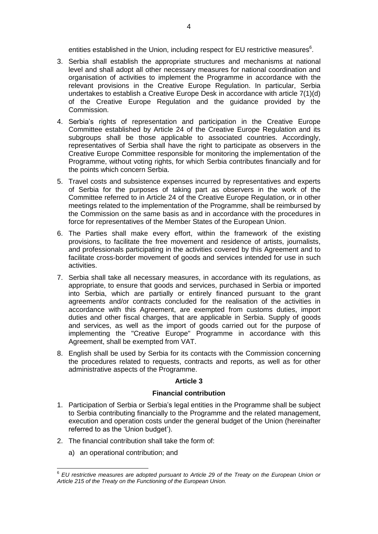entities established in the Union, including respect for EU restrictive measures<sup>6</sup>.

- 3. Serbia shall establish the appropriate structures and mechanisms at national level and shall adopt all other necessary measures for national coordination and organisation of activities to implement the Programme in accordance with the relevant provisions in the Creative Europe Regulation. In particular, Serbia undertakes to establish a Creative Europe Desk in accordance with article 7(1)(d) of the Creative Europe Regulation and the guidance provided by the Commission.
- 4. Serbia's rights of representation and participation in the Creative Europe Committee established by Article 24 of the Creative Europe Regulation and its subgroups shall be those applicable to associated countries. Accordingly, representatives of Serbia shall have the right to participate as observers in the Creative Europe Committee responsible for monitoring the implementation of the Programme, without voting rights, for which Serbia contributes financially and for the points which concern Serbia.
- 5. Travel costs and subsistence expenses incurred by representatives and experts of Serbia for the purposes of taking part as observers in the work of the Committee referred to in Article 24 of the Creative Europe Regulation, or in other meetings related to the implementation of the Programme, shall be reimbursed by the Commission on the same basis as and in accordance with the procedures in force for representatives of the Member States of the European Union.
- 6. The Parties shall make every effort, within the framework of the existing provisions, to facilitate the free movement and residence of artists, journalists, and professionals participating in the activities covered by this Agreement and to facilitate cross-border movement of goods and services intended for use in such activities.
- 7. Serbia shall take all necessary measures, in accordance with its regulations, as appropriate, to ensure that goods and services, purchased in Serbia or imported into Serbia, which are partially or entirely financed pursuant to the grant agreements and/or contracts concluded for the realisation of the activities in accordance with this Agreement, are exempted from customs duties, import duties and other fiscal charges, that are applicable in Serbia. Supply of goods and services, as well as the import of goods carried out for the purpose of implementing the "Creative Europe" Programme in accordance with this Agreement, shall be exempted from VAT.
- 8. English shall be used by Serbia for its contacts with the Commission concerning the procedures related to requests, contracts and reports, as well as for other administrative aspects of the Programme.

### **Article 3**

## **Financial contribution**

- 1. Participation of Serbia or Serbia's legal entities in the Programme shall be subject to Serbia contributing financially to the Programme and the related management, execution and operation costs under the general budget of the Union (hereinafter referred to as the 'Union budget').
- 2. The financial contribution shall take the form of:
	- a) an operational contribution; and

 $\overline{a}$ 

<sup>6</sup> *EU restrictive measures are adopted pursuant to Article 29 of the Treaty on the European Union or Article 215 of the Treaty on the Functioning of the European Union.*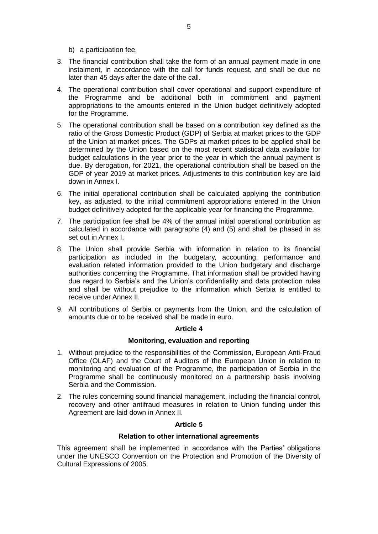b) a participation fee.

- 3. The financial contribution shall take the form of an annual payment made in one instalment, in accordance with the call for funds request, and shall be due no later than 45 days after the date of the call.
- 4. The operational contribution shall cover operational and support expenditure of the Programme and be additional both in commitment and payment appropriations to the amounts entered in the Union budget definitively adopted for the Programme.
- 5. The operational contribution shall be based on a contribution key defined as the ratio of the Gross Domestic Product (GDP) of Serbia at market prices to the GDP of the Union at market prices. The GDPs at market prices to be applied shall be determined by the Union based on the most recent statistical data available for budget calculations in the year prior to the year in which the annual payment is due. By derogation, for 2021, the operational contribution shall be based on the GDP of year 2019 at market prices. Adjustments to this contribution key are laid down in Annex I.
- 6. The initial operational contribution shall be calculated applying the contribution key, as adjusted, to the initial commitment appropriations entered in the Union budget definitively adopted for the applicable year for financing the Programme.
- 7. The participation fee shall be 4% of the annual initial operational contribution as calculated in accordance with paragraphs (4) and (5) and shall be phased in as set out in Annex I.
- 8. The Union shall provide Serbia with information in relation to its financial participation as included in the budgetary, accounting, performance and evaluation related information provided to the Union budgetary and discharge authorities concerning the Programme. That information shall be provided having due regard to Serbia's and the Union's confidentiality and data protection rules and shall be without prejudice to the information which Serbia is entitled to receive under Annex II.
- 9. All contributions of Serbia or payments from the Union, and the calculation of amounts due or to be received shall be made in euro.

## **Article 4**

## **Monitoring, evaluation and reporting**

- 1. Without prejudice to the responsibilities of the Commission, European Anti-Fraud Office (OLAF) and the Court of Auditors of the European Union in relation to monitoring and evaluation of the Programme, the participation of Serbia in the Programme shall be continuously monitored on a partnership basis involving Serbia and the Commission.
- 2. The rules concerning sound financial management, including the financial control, recovery and other antifraud measures in relation to Union funding under this Agreement are laid down in Annex II.

## **Article 5**

### **Relation to other international agreements**

This agreement shall be implemented in accordance with the Parties' obligations under the UNESCO Convention on the Protection and Promotion of the Diversity of Cultural Expressions of 2005.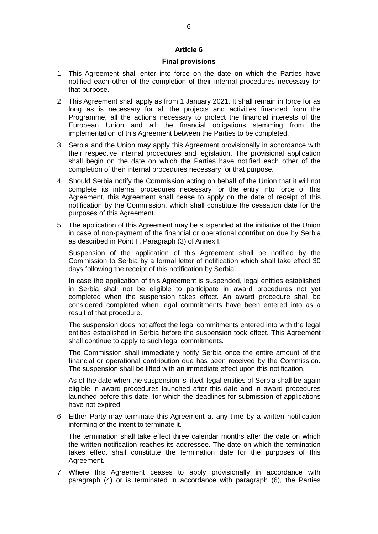### **Article 6**

#### **Final provisions**

- 1. This Agreement shall enter into force on the date on which the Parties have notified each other of the completion of their internal procedures necessary for that purpose.
- 2. This Agreement shall apply as from 1 January 2021. It shall remain in force for as long as is necessary for all the projects and activities financed from the Programme, all the actions necessary to protect the financial interests of the European Union and all the financial obligations stemming from the implementation of this Agreement between the Parties to be completed.
- 3. Serbia and the Union may apply this Agreement provisionally in accordance with their respective internal procedures and legislation. The provisional application shall begin on the date on which the Parties have notified each other of the completion of their internal procedures necessary for that purpose.
- 4. Should Serbia notify the Commission acting on behalf of the Union that it will not complete its internal procedures necessary for the entry into force of this Agreement, this Agreement shall cease to apply on the date of receipt of this notification by the Commission, which shall constitute the cessation date for the purposes of this Agreement.
- 5. The application of this Agreement may be suspended at the initiative of the Union in case of non-payment of the financial or operational contribution due by Serbia as described in Point II, Paragraph (3) of Annex I.

Suspension of the application of this Agreement shall be notified by the Commission to Serbia by a formal letter of notification which shall take effect 30 days following the receipt of this notification by Serbia.

In case the application of this Agreement is suspended, legal entities established in Serbia shall not be eligible to participate in award procedures not yet completed when the suspension takes effect. An award procedure shall be considered completed when legal commitments have been entered into as a result of that procedure.

The suspension does not affect the legal commitments entered into with the legal entities established in Serbia before the suspension took effect. This Agreement shall continue to apply to such legal commitments.

The Commission shall immediately notify Serbia once the entire amount of the financial or operational contribution due has been received by the Commission. The suspension shall be lifted with an immediate effect upon this notification.

As of the date when the suspension is lifted, legal entities of Serbia shall be again eligible in award procedures launched after this date and in award procedures launched before this date, for which the deadlines for submission of applications have not expired.

6. Either Party may terminate this Agreement at any time by a written notification informing of the intent to terminate it.

The termination shall take effect three calendar months after the date on which the written notification reaches its addressee. The date on which the termination takes effect shall constitute the termination date for the purposes of this Agreement.

7. Where this Agreement ceases to apply provisionally in accordance with paragraph (4) or is terminated in accordance with paragraph (6), the Parties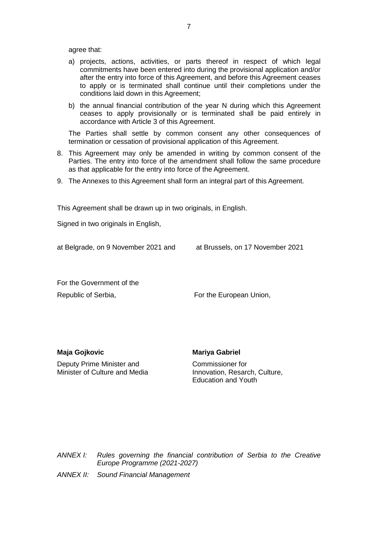agree that:

- a) projects, actions, activities, or parts thereof in respect of which legal commitments have been entered into during the provisional application and/or after the entry into force of this Agreement, and before this Agreement ceases to apply or is terminated shall continue until their completions under the conditions laid down in this Agreement;
- b) the annual financial contribution of the year N during which this Agreement ceases to apply provisionally or is terminated shall be paid entirely in accordance with Article 3 of this Agreement.

The Parties shall settle by common consent any other consequences of termination or cessation of provisional application of this Agreement.

- 8. This Agreement may only be amended in writing by common consent of the Parties. The entry into force of the amendment shall follow the same procedure as that applicable for the entry into force of the Agreement.
- 9. The Annexes to this Agreement shall form an integral part of this Agreement.

This Agreement shall be drawn up in two originals, in English.

Signed in two originals in English,

at Belgrade, on 9 November 2021 and at Brussels, on 17 November 2021

For the Government of the Republic of Serbia, The European Union,

**Maja Gojkovic**

**Mariya Gabriel**

Deputy Prime Minister and Minister of Culture and Media Commissioner for Innovation, Resarch, Culture, Education and Youth

*ANNEX I: Rules governing the financial contribution of Serbia to the Creative Europe Programme (2021-2027)*

*ANNEX II: Sound Financial Management*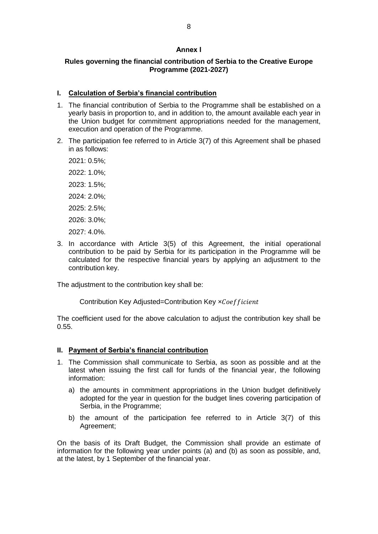### **Annex I**

## **Rules governing the financial contribution of Serbia to the Creative Europe Programme (2021-2027)**

### **I. Calculation of Serbia's financial contribution**

- 1. The financial contribution of Serbia to the Programme shall be established on a yearly basis in proportion to, and in addition to, the amount available each year in the Union budget for commitment appropriations needed for the management, execution and operation of the Programme.
- 2. The participation fee referred to in Article 3(7) of this Agreement shall be phased in as follows:

2021: 0.5%; 2022: 1.0%; 2023: 1.5%; 2024: 2.0%; 2025: 2.5%; 2026: 3.0%; 2027: 4.0%.

3. In accordance with Article 3(5) of this Agreement, the initial operational contribution to be paid by Serbia for its participation in the Programme will be calculated for the respective financial years by applying an adjustment to the contribution key.

The adjustment to the contribution key shall be:

Contribution Key Adjusted=Contribution Key xCoefficient

The coefficient used for the above calculation to adjust the contribution key shall be 0.55.

## **II. Payment of Serbia's financial contribution**

- 1. The Commission shall communicate to Serbia, as soon as possible and at the latest when issuing the first call for funds of the financial year, the following information:
	- a) the amounts in commitment appropriations in the Union budget definitively adopted for the year in question for the budget lines covering participation of Serbia, in the Programme;
	- b) the amount of the participation fee referred to in Article 3(7) of this Agreement;

On the basis of its Draft Budget, the Commission shall provide an estimate of information for the following year under points (a) and (b) as soon as possible, and, at the latest, by 1 September of the financial year.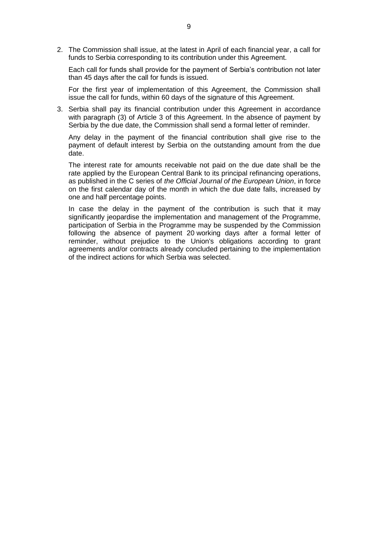2. The Commission shall issue, at the latest in April of each financial year, a call for funds to Serbia corresponding to its contribution under this Agreement.

Each call for funds shall provide for the payment of Serbia's contribution not later than 45 days after the call for funds is issued.

For the first year of implementation of this Agreement, the Commission shall issue the call for funds, within 60 days of the signature of this Agreement.

3. Serbia shall pay its financial contribution under this Agreement in accordance with paragraph (3) of Article 3 of this Agreement. In the absence of payment by Serbia by the due date, the Commission shall send a formal letter of reminder.

Any delay in the payment of the financial contribution shall give rise to the payment of default interest by Serbia on the outstanding amount from the due date.

The interest rate for amounts receivable not paid on the due date shall be the rate applied by the European Central Bank to its principal refinancing operations, as published in the C series of *the Official Journal of the European Union*, in force on the first calendar day of the month in which the due date falls, increased by one and half percentage points.

In case the delay in the payment of the contribution is such that it may significantly jeopardise the implementation and management of the Programme, participation of Serbia in the Programme may be suspended by the Commission following the absence of payment 20 working days after a formal letter of reminder, without prejudice to the Union's obligations according to grant agreements and/or contracts already concluded pertaining to the implementation of the indirect actions for which Serbia was selected.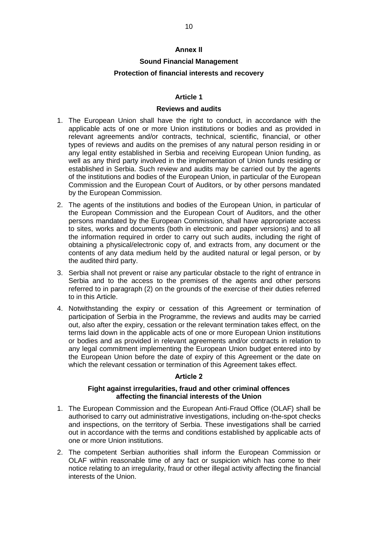### **Annex II**

## **Sound Financial Management**

## **Protection of financial interests and recovery**

## **Article 1**

### **Reviews and audits**

- 1. The European Union shall have the right to conduct, in accordance with the applicable acts of one or more Union institutions or bodies and as provided in relevant agreements and/or contracts, technical, scientific, financial, or other types of reviews and audits on the premises of any natural person residing in or any legal entity established in Serbia and receiving European Union funding, as well as any third party involved in the implementation of Union funds residing or established in Serbia. Such review and audits may be carried out by the agents of the institutions and bodies of the European Union, in particular of the European Commission and the European Court of Auditors, or by other persons mandated by the European Commission.
- 2. The agents of the institutions and bodies of the European Union, in particular of the European Commission and the European Court of Auditors, and the other persons mandated by the European Commission, shall have appropriate access to sites, works and documents (both in electronic and paper versions) and to all the information required in order to carry out such audits, including the right of obtaining a physical/electronic copy of, and extracts from, any document or the contents of any data medium held by the audited natural or legal person, or by the audited third party.
- 3. Serbia shall not prevent or raise any particular obstacle to the right of entrance in Serbia and to the access to the premises of the agents and other persons referred to in paragraph (2) on the grounds of the exercise of their duties referred to in this Article.
- 4. Notwithstanding the expiry or cessation of this Agreement or termination of participation of Serbia in the Programme, the reviews and audits may be carried out, also after the expiry, cessation or the relevant termination takes effect, on the terms laid down in the applicable acts of one or more European Union institutions or bodies and as provided in relevant agreements and/or contracts in relation to any legal commitment implementing the European Union budget entered into by the European Union before the date of expiry of this Agreement or the date on which the relevant cessation or termination of this Agreement takes effect.

### **Article 2**

## **Fight against irregularities, fraud and other criminal offences affecting the financial interests of the Union**

- 1. The European Commission and the European Anti-Fraud Office (OLAF) shall be authorised to carry out administrative investigations, including on-the-spot checks and inspections, on the territory of Serbia. These investigations shall be carried out in accordance with the terms and conditions established by applicable acts of one or more Union institutions.
- 2. The competent Serbian authorities shall inform the European Commission or OLAF within reasonable time of any fact or suspicion which has come to their notice relating to an irregularity, fraud or other illegal activity affecting the financial interests of the Union.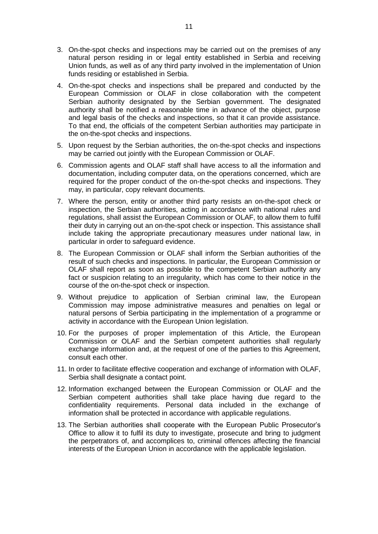- 3. On-the-spot checks and inspections may be carried out on the premises of any natural person residing in or legal entity established in Serbia and receiving Union funds, as well as of any third party involved in the implementation of Union funds residing or established in Serbia.
- 4. On-the-spot checks and inspections shall be prepared and conducted by the European Commission or OLAF in close collaboration with the competent Serbian authority designated by the Serbian government. The designated authority shall be notified a reasonable time in advance of the object, purpose and legal basis of the checks and inspections, so that it can provide assistance. To that end, the officials of the competent Serbian authorities may participate in the on-the-spot checks and inspections.
- 5. Upon request by the Serbian authorities, the on-the-spot checks and inspections may be carried out jointly with the European Commission or OLAF.
- 6. Commission agents and OLAF staff shall have access to all the information and documentation, including computer data, on the operations concerned, which are required for the proper conduct of the on-the-spot checks and inspections. They may, in particular, copy relevant documents.
- 7. Where the person, entity or another third party resists an on-the-spot check or inspection, the Serbian authorities, acting in accordance with national rules and regulations, shall assist the European Commission or OLAF, to allow them to fulfil their duty in carrying out an on-the-spot check or inspection. This assistance shall include taking the appropriate precautionary measures under national law, in particular in order to safeguard evidence.
- 8. The European Commission or OLAF shall inform the Serbian authorities of the result of such checks and inspections. In particular, the European Commission or OLAF shall report as soon as possible to the competent Serbian authority any fact or suspicion relating to an irregularity, which has come to their notice in the course of the on-the-spot check or inspection.
- 9. Without prejudice to application of Serbian criminal law, the European Commission may impose administrative measures and penalties on legal or natural persons of Serbia participating in the implementation of a programme or activity in accordance with the European Union legislation.
- 10. For the purposes of proper implementation of this Article, the European Commission or OLAF and the Serbian competent authorities shall regularly exchange information and, at the request of one of the parties to this Agreement, consult each other.
- 11. In order to facilitate effective cooperation and exchange of information with OLAF, Serbia shall designate a contact point.
- 12. Information exchanged between the European Commission or OLAF and the Serbian competent authorities shall take place having due regard to the confidentiality requirements. Personal data included in the exchange of information shall be protected in accordance with applicable regulations.
- 13. The Serbian authorities shall cooperate with the European Public Prosecutor's Office to allow it to fulfil its duty to investigate, prosecute and bring to judgment the perpetrators of, and accomplices to, criminal offences affecting the financial interests of the European Union in accordance with the applicable legislation.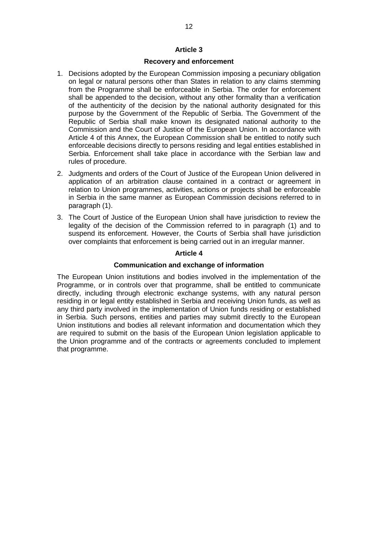### **Article 3**

### **Recovery and enforcement**

- 1. Decisions adopted by the European Commission imposing a pecuniary obligation on legal or natural persons other than States in relation to any claims stemming from the Programme shall be enforceable in Serbia. The order for enforcement shall be appended to the decision, without any other formality than a verification of the authenticity of the decision by the national authority designated for this purpose by the Government of the Republic of Serbia. The Government of the Republic of Serbia shall make known its designated national authority to the Commission and the Court of Justice of the European Union. In accordance with Article 4 of this Annex, the European Commission shall be entitled to notify such enforceable decisions directly to persons residing and legal entities established in Serbia. Enforcement shall take place in accordance with the Serbian law and rules of procedure.
- 2. Judgments and orders of the Court of Justice of the European Union delivered in application of an arbitration clause contained in a contract or agreement in relation to Union programmes, activities, actions or projects shall be enforceable in Serbia in the same manner as European Commission decisions referred to in paragraph (1).
- 3. The Court of Justice of the European Union shall have jurisdiction to review the legality of the decision of the Commission referred to in paragraph (1) and to suspend its enforcement. However, the Courts of Serbia shall have jurisdiction over complaints that enforcement is being carried out in an irregular manner.

### **Article 4**

### **Communication and exchange of information**

The European Union institutions and bodies involved in the implementation of the Programme, or in controls over that programme, shall be entitled to communicate directly, including through electronic exchange systems, with any natural person residing in or legal entity established in Serbia and receiving Union funds, as well as any third party involved in the implementation of Union funds residing or established in Serbia. Such persons, entities and parties may submit directly to the European Union institutions and bodies all relevant information and documentation which they are required to submit on the basis of the European Union legislation applicable to the Union programme and of the contracts or agreements concluded to implement that programme.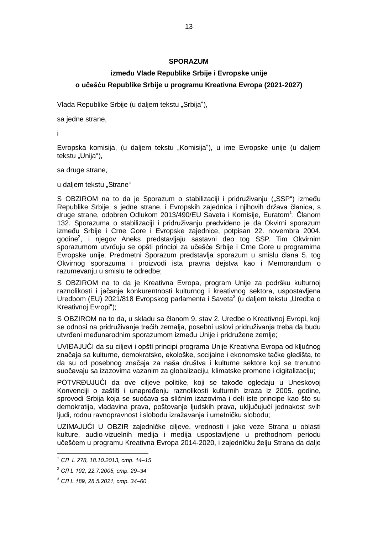### **SPORAZUM**

## **između Vlade Republike Srbije i Evropske unije o učešću Republike Srbije u programu Kreativna Evropa (2021-2027)**

Vlada Republike Srbije (u daljem tekstu "Srbija"),

sa jedne strane,

i

Evropska komisija, (u daljem tekstu "Komisija"), u ime Evropske unije (u daljem tekstu "Unija"),

sa druge strane,

u daljem tekstu "Strane"

S OBZIROM na to da je Sporazum o stabilizaciji i pridruživanju ("SSP") između Republike Srbije, s jedne strane, i Evropskih zajednica i njihovih država članica, s druge strane, odobren Odlukom 2013/490/EU Saveta i Komisije, Euratom<sup>1</sup>. Članom 132. Sporazuma o stabilizaciji i pridruživanju predviđeno je da Okvirni sporazum između Srbije i Crne Gore i Evropske zajednice, potpisan 22. novembra 2004. godine<sup>2</sup>, i njegov Aneks predstavljaju sastavni deo tog SSP. Tim Okvirnim sporazumom utvrđuju se opšti principi za učešće Srbije i Crne Gore u programima Evropske unije. Predmetni Sporazum predstavlja sporazum u smislu člana 5. tog Okvirnog sporazuma i proizvodi ista pravna dejstva kao i Memorandum o razumevanju u smislu te odredbe;

S OBZIROM na to da je Kreativna Evropa, program Unije za podršku kulturnoj raznolikosti i jačanje konkurentnosti kulturnog i kreativnog sektora, uspostavljena Uredbom (EU) 2021/818 Evropskog parlamenta i Saveta<sup>3</sup> (u daljem tekstu "Uredba o Kreativnoj Evropi");

S OBZIROM na to da, u skladu sa članom 9. stav 2. Uredbe o Kreativnoj Evropi, koji se odnosi na pridruživanje trećih zemalja, posebni uslovi pridruživanja treba da budu utvrđeni međunarodnim sporazumom između Unije i pridružene zemlje;

UVIĐAJUĆI da su ciljevi i opšti principi programa Unije Kreativna Evropa od ključnog značaja sa kulturne, demokratske, ekološke, socijalne i ekonomske tačke gledišta, te da su od posebnog značaja za naša društva i kulturne sektore koji se trenutno suočavaju sa izazovima vazanim za globalizaciju, klimatske promene i digitalizaciju;

POTVRĐUJUĆI da ove ciljeve politike, koji se takođe ogledaju u Uneskovoj Konvenciji o zaštiti i unapređenju raznolikosti kulturnih izraza iz 2005. godine, sprovodi Srbija koja se suočava sa sličnim izazovima i deli iste principe kao što su demokratija, vladavina prava, poštovanje ljudskih prava, uključujući jednakost svih ljudi, rodnu ravnopravnost i slobodu izražavanja i umetničku slobodu;

UZIMAJUĆI U OBZIR zajedničke ciljeve, vrednosti i jake veze Strana u oblasti kulture, audio-vizuelnih medija i medija uspostavljene u prethodnom periodu učešćem u programu Kreativna Evropa 2014-2020, i zajedničku želju Strana da dalje

-

<sup>1</sup> *СЛ L 278, 18.10.2013, стр. 14‒15*

<sup>&</sup>lt;sup>2</sup> СЛ L 192, 22.7.2005, стр. 29-34

<sup>3</sup> *СЛ L 189, 28.5.2021, стр. 34‒60*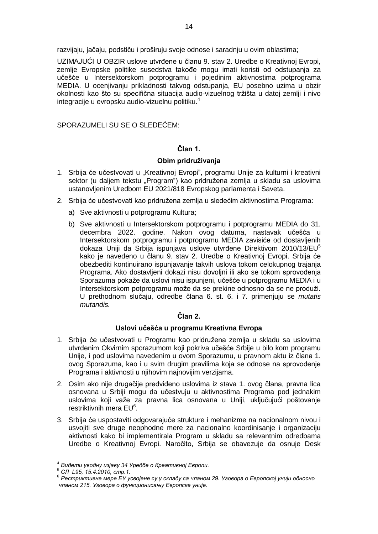razvijaju, jačaju, podstiču i proširuju svoje odnose i saradnju u ovim oblastima;

UZIMAJUĆI U OBZIR uslove utvrđene u članu 9. stav 2. Uredbe o Kreativnoj Evropi, zemlje Evropske politike susedstva takođe mogu imati koristi od odstupanja za učešće u Intersektorskom potprogramu i pojedinim aktivnostima potprograma MEDIA. U ocenjivanju prikladnosti takvog odstupanja, EU posebno uzima u obzir okolnosti kao što su specifična situacija audio-vizuelnog tržišta u datoj zemlji i nivo integracije u evropsku audio-vizuelnu politiku. 4

SPORAZUMELI SU SE O SLEDEĆEM:

## **Član 1.**

### **Obim pridruživanja**

- 1. Srbija će učestvovati u "Kreativnoj Evropi", programu Unije za kulturni i kreativni sektor (u daljem tekstu "Program") kao pridružena zemlja u skladu sa uslovima ustanovljenim Uredbom EU 2021/818 Evropskog parlamenta i Saveta.
- 2. Srbija će učestvovati kao pridružena zemlja u sledećim aktivnostima Programa:
	- a) Sve aktivnosti u potprogramu Kultura;
	- b) Sve aktivnosti u Intersektorskom potprogramu i potprogramu MEDIA do 31. decembra 2022. godine. Nakon ovog datuma, nastavak učešća u Intersektorskom potprogramu i potprogramu MEDIA zavisiće od dostavljenih dokaza Uniji da Srbija ispunjava uslove utvrđene Direktivom 2010/13/EU<sup>5</sup> kako je navedeno u članu 9. stav 2. Uredbe o Kreativnoj Evropi. Srbija će obezbediti kontinuirano ispunjavanje takvih uslova tokom celokupnog trajanja Programa. Ako dostavljeni dokazi nisu dovoljni ili ako se tokom sprovođenja Sporazuma pokaže da uslovi nisu ispunjeni, učešće u potprogramu MEDIA i u Intersektorskom potprogramu može da se prekine odnosno da se ne produži. U prethodnom slučaju, odredbe člana 6. st. 6. i 7. primenjuju se *mutatis mutandis.*

## **Član 2.**

### **Uslovi učešća u programu Kreativna Evropa**

- 1. Srbija će učestvovati u Programu kao pridružena zemlja u skladu sa uslovima utvrđenim Okvirnim sporazumom koji pokriva učešće Srbije u bilo kom programu Unije, i pod uslovima navedenim u ovom Sporazumu, u pravnom aktu iz člana 1. ovog Sporazuma, kao i u svim drugim pravilima koja se odnose na sprovođenje Programa i aktivnosti u njihovim najnovijim verzijama.
- 2. Osim ako nije drugačije predviđeno uslovima iz stava 1. ovog člana, pravna lica osnovana u Srbiji mogu da učestvuju u aktivnostima Programa pod jednakim uslovima koji važe za pravna lica osnovana u Uniji, uključujući poštovanje restriktivnih mera EU<sup>6</sup>.
- 3. Srbija će uspostaviti odgovarajuće strukture i mehanizme na nacionalnom nivou i usvojiti sve druge neophodne mere za nacionalno koordinisanje i organizaciju aktivnosti kako bi implementirala Program u skladu sa relevantnim odredbama Uredbe o Kreativnoj Evropi. Naročito, Srbija se obavezuje da osnuje Desk

 $\overline{a}$ 

<sup>4</sup> *Видети уводну изјаву 34 Уредбе о Креативној Европи.*

<sup>5</sup> *СЛ L95, 15.4.2010, стр.1.*

<sup>6</sup> *Рестриктивне мере ЕУ усвојене су у складу са чланом 29. Уговора о Европској унији односно чланoм 215. Уговора о функционисању Европске уније.*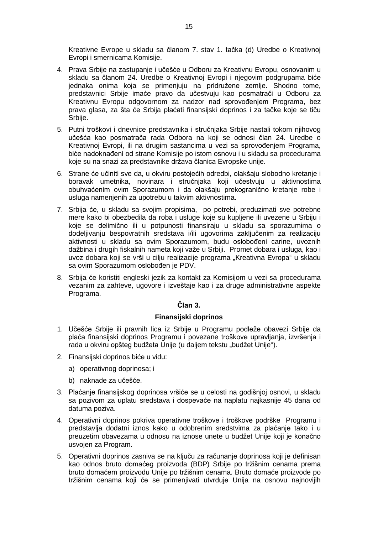Kreativne Evrope u skladu sa članom 7. stav 1. tačka (d) Uredbe o Kreativnoj Evropi i smernicama Komisije.

- 4. Prava Srbije na zastupanje i učešće u Odboru za Kreativnu Evropu, osnovanim u skladu sa članom 24. Uredbe o Kreativnoj Evropi i njegovim podgrupama biće jednaka onima koja se primenjuju na pridružene zemlje. Shodno tome, predstavnici Srbije imaće pravo da učestvuju kao posmatrači u Odboru za Kreativnu Evropu odgovornom za nadzor nad sprovođenjem Programa, bez prava glasa, za šta će Srbija plaćati finansijski doprinos i za tačke koje se tiču Srbije.
- 5. Putni troškovi i dnevnice predstavnika i stručnjaka Srbije nastali tokom njihovog učešća kao posmatrača rada Odbora na koji se odnosi član 24. Uredbe o Kreativnoj Evropi, ili na drugim sastancima u vezi sa sprovođenjem Programa, biće nadoknađeni od strane Komisije po istom osnovu i u skladu sa procedurama koje su na snazi za predstavnike država članica Evropske unije.
- 6. Strane će učiniti sve da, u okviru postojećih odredbi, olakšaju slobodno kretanje i boravak umetnika, novinara i stručnjaka koji učestvuju u aktivnostima obuhvaćenim ovim Sporazumom i da olakšaju prekogranično kretanje robe i usluga namenjenih za upotrebu u takvim aktivnostima.
- 7. Srbija će, u skladu sa svojim propisima, po potrebi, preduzimati sve potrebne mere kako bi obezbedila da roba i usluge koje su kupljene ili uvezene u Srbiju i koje se delimično ili u potpunosti finansiraju u skladu sa sporazumima o dodeljivanju bespovratnih sredstava i/ili ugovorima zaključenim za realizaciju aktivnosti u skladu sa ovim Sporazumom, budu oslobođeni carine, uvoznih dažbina i drugih fiskalnih nameta koji važe u Srbiji. Promet dobara i usluga, kao i uvoz dobara koji se vrši u cilju realizacije programa "Kreativna Evropa" u skladu sa ovim Sporazumom oslobođen je PDV.
- 8. Srbija će koristiti engleski jezik za kontakt za Komisijom u vezi sa procedurama vezanim za zahteve, ugovore i izveštaje kao i za druge administrativne aspekte Programa.

## **Član 3.**

## **Finansijski doprinos**

- 1. Učešće Srbije ili pravnih lica iz Srbije u Programu podleže obavezi Srbije da plaća finansijski doprinos Programu i povezane troškove upravljanja, izvršenja i rada u okviru opšteg budžeta Unije (u daljem tekstu "budžet Unije").
- 2. Finansijski doprinos biće u vidu:
	- a) operativnog doprinosa; i
	- b) naknade za učešće.
- 3. Plaćanje finansijskog doprinosa vršiće se u celosti na godišnjoj osnovi, u skladu sa pozivom za uplatu sredstava i dospevaće na naplatu najkasnije 45 dana od datuma poziva.
- 4. Operativni doprinos pokriva operativne troškove i troškove podrške Programu i predstavlja dodatni iznos kako u odobrenim sredstvima za plaćanje tako i u preuzetim obavezama u odnosu na iznose unete u budžet Unije koji je konačno usvojen za Program.
- 5. Operativni doprinos zasniva se na ključu za računanje doprinosa koji je definisan kao odnos bruto domaćeg proizvoda (BDP) Srbije po tržišnim cenama prema bruto domaćem proizvodu Unije po tržišnim cenama. Bruto domaće proizvode po tržišnim cenama koji će se primenjivati utvrđuje Unija na osnovu najnovijih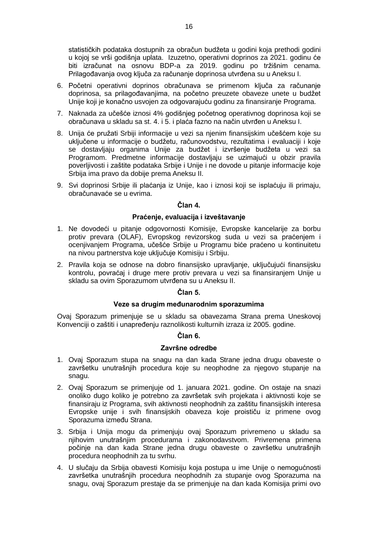statističkih podataka dostupnih za obračun budžeta u godini koja prethodi godini u kojoj se vrši godišnja uplata. Izuzetno, operativni doprinos za 2021. godinu će biti izračunat na osnovu BDP-a za 2019. godinu po tržišnim cenama. Prilagođavanja ovog ključa za računanje doprinosa utvrđena su u Aneksu I.

- 6. Početni operativni doprinos obračunava se primenom ključa za računanje doprinosa, sa prilagođavanjima, na početno preuzete obaveze unete u budžet Unije koji je konačno usvojen za odgovarajuću godinu za finansiranje Programa.
- 7. Naknada za učešće iznosi 4% godišnjeg početnog operativnog doprinosa koji se obračunava u skladu sa st. 4. i 5. i plaća fazno na način utvrđen u Aneksu I.
- 8. Unija će pružati Srbiji informacije u vezi sa njenim finansijskim učešćem koje su uključene u informacije o budžetu, računovodstvu, rezultatima i evaluaciji i koje se dostavljaju organima Unije za budžet i izvršenje budžeta u vezi sa Programom. Predmetne informacije dostavljaju se uzimajući u obzir pravila poverljivosti i zaštite podataka Srbije i Unije i ne dovode u pitanje informacije koje Srbija ima pravo da dobije prema Aneksu II.
- 9. Svi doprinosi Srbije ili plaćanja iz Unije, kao i iznosi koji se isplaćuju ili primaju, obračunavaće se u evrima.

## **Član 4.**

### **Praćenje, evaluacija i izveštavanje**

- 1. Ne dovodeći u pitanje odgovornosti Komisije, Evropske kancelarije za borbu protiv prevara (OLAF), Evropskog revizorskog suda u vezi sa praćenjem i ocenjivanjem Programa, učešće Srbije u Programu biće praćeno u kontinuitetu na nivou partnerstva koje uključuje Komisiju i Srbiju.
- 2. Pravila koja se odnose na dobro finansijsko upravljanje, uključujući finansijsku kontrolu, povraćaj i druge mere protiv prevara u vezi sa finansiranjem Unije u skladu sa ovim Sporazumom utvrđena su u Aneksu II.

## **Član 5.**

### **Veze sa drugim međunarodnim sporazumima**

Ovaj Sporazum primenjuje se u skladu sa obavezama Strana prema Uneskovoj Konvenciji o zaštiti i unapređenju raznolikosti kulturnih izraza iz 2005. godine.

## **Član 6.**

### **Završne odredbe**

- 1. Ovaj Sporazum stupa na snagu na dan kada Strane jedna drugu obaveste o završetku unutrašnjih procedura koje su neophodne za njegovo stupanje na snagu.
- 2. Ovaj Sporazum se primenjuje od 1. januara 2021. godine. On ostaje na snazi onoliko dugo koliko je potrebno za završetak svih projekata i aktivnosti koje se finansiraju iz Programa, svih aktivnosti neophodnih za zaštitu finansijskih interesa Evropske unije i svih finansijskih obaveza koje proističu iz primene ovog Sporazuma između Strana.
- 3. Srbija i Unija mogu da primenjuju ovaj Sporazum privremeno u skladu sa njihovim unutrašnjim procedurama i zakonodavstvom. Privremena primena počinje na dan kada Strane jedna drugu obaveste o završetku unutrašnjih procedura neophodnih za tu svrhu.
- 4. U slučaju da Srbija obavesti Komisiju koja postupa u ime Unije o nemogućnosti završetka unutrašnjih procedura neophodnih za stupanje ovog Sporazuma na snagu, ovaj Sporazum prestaje da se primenjuje na dan kada Komisija primi ovo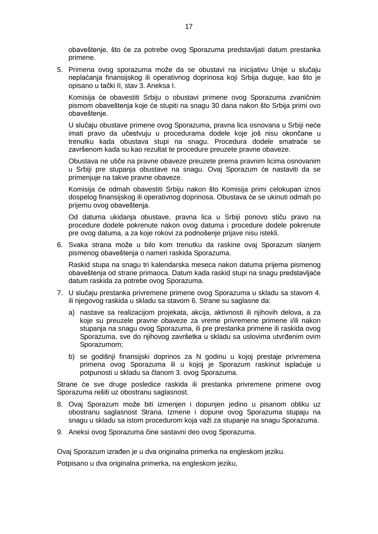obaveštenje, što će za potrebe ovog Sporazuma predstavljati datum prestanka primene.

5. Primena ovog sporazuma može da se obustavi na inicijativu Unije u slučaju neplaćanja finansijskog ili operativnog doprinosa koji Srbija duguje, kao što je opisano u tački II, stav 3. Aneksa I.

Komisija će obavestiti Srbiju o obustavi primene ovog Sporazuma zvaničnim pismom obaveštenja koje će stupiti na snagu 30 dana nakon što Srbija primi ovo obaveštenje.

U slučaju obustave primene ovog Sporazuma, pravna lica osnovana u Srbiji neće imati pravo da učestvuju u procedurama dodele koje još nisu okončane u trenutku kada obustava stupi na snagu. Procedura dodele smatraće se završenom kada su kao rezultat te procedure preuzete pravne obaveze.

Obustava ne utiče na pravne obaveze preuzete prema pravnim licima osnovanim u Srbiji pre stupanja obustave na snagu. Ovaj Sporazum će nastaviti da se primenjuje na takve pravne obaveze.

Komisija će odmah obavestiti Srbiju nakon što Komisija primi celokupan iznos dospelog finansijskog ili operativnog doprinosa. Obustava će se ukinuti odmah po prijemu ovog obaveštenja.

Od datuma ukidanja obustave, pravna lica u Srbiji ponovo stiču pravo na procedure dodele pokrenute nakon ovog datuma i procedure dodele pokrenute pre ovog datuma, a za koje rokovi za podnošenje prijave nisu istekli.

6. Svaka strana može u bilo kom trenutku da raskine ovaj Sporazum slanjem pismenog obaveštenja o nameri raskida Sporazuma.

Raskid stupa na snagu tri kalendarska meseca nakon datuma prijema pismenog obaveštenja od strane primaoca. Datum kada raskid stupi na snagu predstavljaće datum raskida za potrebe ovog Sporazuma.

- 7. U slučaju prestanka privremene primene ovog Sporazuma u skladu sa stavom 4. ili njegovog raskida u skladu sa stavom 6. Strane su saglasne da:
	- a) nastave sa realizacijom projekata, akcija, aktivnosti ili njihovih delova, a za koje su preuzele pravne obaveze za vreme privremene primene i/ili nakon stupanja na snagu ovog Sporazuma, ili pre prestanka primene ili raskida ovog Sporazuma, sve do njihovog završetka u skladu sa uslovima utvrđenim ovim Sporazumom;
	- b) se godišnji finansijski doprinos za N godinu u kojoj prestaje privremena primena ovog Sporazuma ili u kojoj je Sporazum raskinut isplaćuje u potpunosti u skladu sa članom 3. ovog Sporazuma.

Strane će sve druge posledice raskida ili prestanka privremene primene ovog Sporazuma rešiti uz obostranu saglasnost.

- 8. Ovaj Sporazum može biti izmenjen i dopunjen jedino u pisanom obliku uz obostranu saglasnost Strana. Izmene i dopune ovog Sporazuma stupaju na snagu u skladu sa istom procedurom koja važi za stupanje na snagu Sporazuma.
- 9. Aneksi ovog Sporazuma čine sastavni deo ovog Sporazuma.

Ovaj Sporazum izrađen je u dva originalna primerka na engleskom jeziku.

Potpisano u dva originalna primerka, na engleskom jeziku,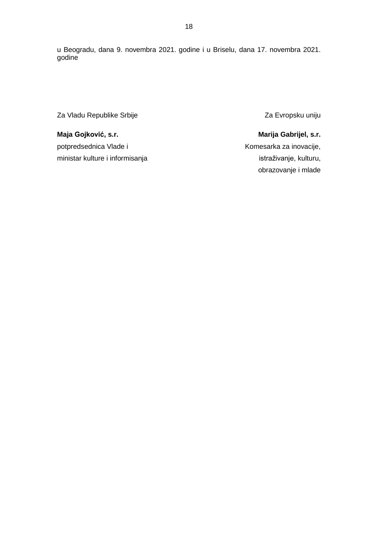u Beogradu, dana 9. novembra 2021. godine i u Briselu, dana 17. novembra 2021. godine

Za Vladu Republike Srbije

**Maja Gojković, s.r.** potpredsednica Vlade i ministar kulture i informisanja Za Evropsku uniju

**Marija Gabrijel, s.r.** Komesarka za inovacije, istraživanje, kulturu, obrazovanje i mlade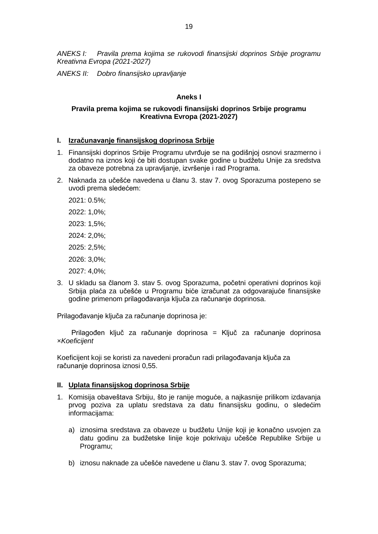*ANEKS I: Pravila prema kojima se rukovodi finansijski doprinos Srbije programu Kreativna Evropa (2021-2027)*

*ANEKS II: Dobro finansijsko upravljanje*

## **Aneks I**

## **Pravila prema kojima se rukovodi finansijski doprinos Srbije programu Kreativna Evropa (2021-2027)**

### **I. Izračunavanje finansijskog doprinosa Srbije**

- 1. Finansijski doprinos Srbije Programu utvrđuje se na godišnjoj osnovi srazmerno i dodatno na iznos koji će biti dostupan svake godine u budžetu Unije za sredstva za obaveze potrebna za upravljanje, izvršenje i rad Programa.
- 2. Naknada za učešće navedena u članu 3. stav 7. ovog Sporazuma postepeno se uvodi prema sledećem:
	- 2021: 0.5%; 2022: 1,0%; 2023: 1,5%; 2024: 2,0%; 2025: 2,5%; 2026: 3,0%; 2027: 4,0%;
- 3. U skladu sa članom 3. stav 5. ovog Sporazuma, početni operativni doprinos koji Srbija plaća za učešće u Programu biće izračunat za odgovarajuće finansijske godine primenom prilagođavanja ključa za računanje doprinosa.

Prilagođavanje ključa za računanje doprinosa je:

Prilagođen ključ za računanje doprinosa = Ključ za računanje doprinosa ×*Koeficijent*

Koeficijent koji se koristi za navedeni proračun radi prilagođavanja ključa za računanje doprinosa iznosi 0,55.

### **II. Uplata finansijskog doprinosa Srbije**

- 1. Komisija obaveštava Srbiju, što je ranije moguće, a najkasnije prilikom izdavanja prvog poziva za uplatu sredstava za datu finansijsku godinu, o sledećim informacijama:
	- a) iznosima sredstava za obaveze u budžetu Unije koji je konačno usvojen za datu godinu za budžetske linije koje pokrivaju učešće Republike Srbije u Programu;
	- b) iznosu naknade za učešće navedene u članu 3. stav 7. ovog Sporazuma;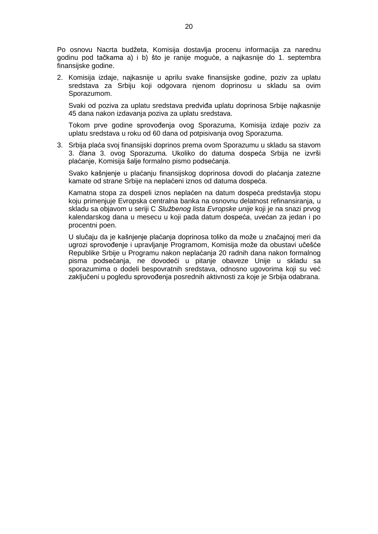Po osnovu Nacrta budžeta, Komisija dostavlja procenu informacija za narednu godinu pod tačkama a) i b) što je ranije moguće, a najkasnije do 1. septembra finansijske godine.

2. Komisija izdaje, najkasnije u aprilu svake finansijske godine, poziv za uplatu sredstava za Srbiju koji odgovara njenom doprinosu u skladu sa ovim Sporazumom.

Svaki od poziva za uplatu sredstava predviđa uplatu doprinosa Srbije najkasnije 45 dana nakon izdavanja poziva za uplatu sredstava.

Tokom prve godine sprovođenja ovog Sporazuma, Komisija izdaje poziv za uplatu sredstava u roku od 60 dana od potpisivanja ovog Sporazuma.

3. Srbija plaća svoj finansijski doprinos prema ovom Sporazumu u skladu sa stavom 3. člana 3. ovog Sporazuma. Ukoliko do datuma dospeća Srbija ne izvrši plaćanje, Komisija šalje formalno pismo podsećanja.

Svako kašnjenje u plaćanju finansijskog doprinosa dovodi do plaćanja zatezne kamate od strane Srbije na neplaćeni iznos od datuma dospeća.

Kamatna stopa za dospeli iznos neplaćen na datum dospeća predstavlja stopu koju primenjuje Evropska centralna banka na osnovnu delatnost refinansiranja, u skladu sa objavom u seriji C *Službenog lista Evropske unije* koji je na snazi prvog kalendarskog dana u mesecu u koji pada datum dospeća, uvećan za jedan i po procentni poen.

U slučaju da je kašnjenje plaćanja doprinosa toliko da može u značajnoj meri da ugrozi sprovođenje i upravljanje Programom, Komisija može da obustavi učešće Republike Srbije u Programu nakon neplaćanja 20 radnih dana nakon formalnog pisma podsećanja, ne dovodeći u pitanje obaveze Unije u skladu sa sporazumima o dodeli bespovratnih sredstava, odnosno ugovorima koji su već zaključeni u pogledu sprovođenja posrednih aktivnosti za koje je Srbija odabrana.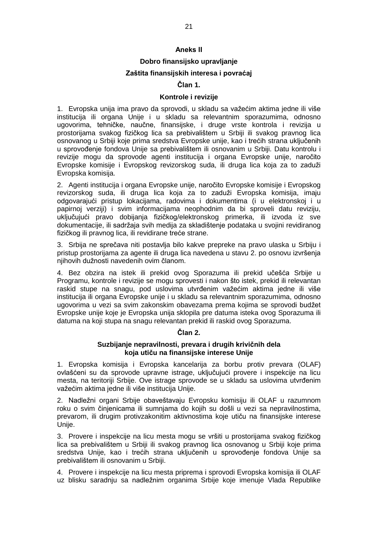### **Aneks II**

## **Dobro finansijsko upravljanje**

## **Zaštita finansijskih interesa i povraćaj**

## **Član 1.**

### **Kontrole i revizije**

1. Evropska unija ima pravo da sprovodi, u skladu sa važećim aktima jedne ili više institucija ili organa Unije i u skladu sa relevantnim sporazumima, odnosno ugovorima, tehničke, naučne, finansijske, i druge vrste kontrola i revizija u prostorijama svakog fizičkog lica sa prebivalištem u Srbiji ili svakog pravnog lica osnovanog u Srbiji koje prima sredstva Evropske unije, kao i trećih strana uključenih u sprovođenje fondova Unije sa prebivalištem ili osnovanim u Srbiji. Datu kontrolu i revizije mogu da sprovode agenti institucija i organa Evropske unije, naročito Evropske komisije i Evropskog revizorskog suda, ili druga lica koja za to zaduži Evropska komisija.

2. Agenti institucija i organa Evropske unije, naročito Evropske komisije i Evropskog revizorskog suda, ili druga lica koja za to zaduži Evropska komisija, imaju odgovarajući pristup lokacijama, radovima i dokumentima (i u elektronskoj i u papirnoj verziji) i svim informacijama neophodnim da bi sproveli datu reviziju, uključujući pravo dobijanja fizičkog/elektronskog primerka, ili izvoda iz sve dokumentacije, ili sadržaja svih medija za skladištenje podataka u svojini revidiranog fizičkog ili pravnog lica, ili revidirane treće strane.

3. Srbija ne sprečava niti postavlja bilo kakve prepreke na pravo ulaska u Srbiju i pristup prostorijama za agente ili druga lica navedena u stavu 2. po osnovu izvršenja njihovih dužnosti navedenih ovim članom.

4. Bez obzira na istek ili prekid ovog Sporazuma ili prekid učešća Srbije u Programu, kontrole i revizije se mogu sprovesti i nakon što istek, prekid ili relevantan raskid stupe na snagu, pod uslovima utvrđenim važećim aktima jedne ili više institucija ili organa Evropske unije i u skladu sa relevantnim sporazumima, odnosno ugovorima u vezi sa svim zakonskim obavezama prema kojima se sprovodi budžet Evropske unije koje je Evropska unija sklopila pre datuma isteka ovog Sporazuma ili datuma na koji stupa na snagu relevantan prekid ili raskid ovog Sporazuma.

### **Član 2.**

### **Suzbijanje nepravilnosti, prevara i drugih krivičnih dela koja utiču na finansijske interese Unije**

1. Evropska komisija i Evropska kancelarija za borbu protiv prevara (OLAF) ovlašćeni su da sprovode upravne istrage, uključujući provere i inspekcije na licu mesta, na teritoriji Srbije. Ove istrage sprovode se u skladu sa uslovima utvrđenim važećim aktima jedne ili više institucija Unije.

2. Nadležni organi Srbije obaveštavaju Evropsku komisiju ili OLAF u razumnom roku o svim činjenicama ili sumnjama do kojih su došli u vezi sa nepravilnostima, prevarom, ili drugim protivzakonitim aktivnostima koje utiču na finansijske interese Unije.

3. Provere i inspekcije na licu mesta mogu se vršiti u prostorijama svakog fizičkog lica sa prebivalištem u Srbiji ili svakog pravnog lica osnovanog u Srbiji koje prima sredstva Unije, kao i trećih strana uključenih u sprovođenje fondova Unije sa prebivalištem ili osnovanim u Srbiji.

4. Provere i inspekcije na licu mesta priprema i sprovodi Evropska komisija ili OLAF uz blisku saradnju sa nadležnim organima Srbije koje imenuje Vlada Republike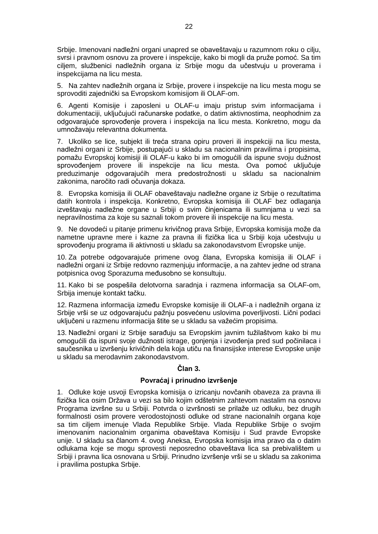Srbije. Imenovani nadležni organi unapred se obaveštavaju u razumnom roku o cilju, svrsi i pravnom osnovu za provere i inspekcije, kako bi mogli da pruže pomoć. Sa tim ciljem, službenici nadležnih organa iz Srbije mogu da učestvuju u proverama i inspekcijama na licu mesta.

5. Na zahtev nadležnih organa iz Srbije, provere i inspekcije na licu mesta mogu se sprovoditi zajednički sa Evropskom komisijom ili OLAF-om.

6. Agenti Komisije i zaposleni u OLAF-u imaju pristup svim informacijama i dokumentaciji, uključujući računarske podatke, o datim aktivnostima, neophodnim za odgovarajuće sprovođenje provera i inspekcija na licu mesta. Konkretno, mogu da umnožavaju relevantna dokumenta.

7. Ukoliko se lice, subjekt ili treća strana opiru proveri ili inspekciji na licu mesta, nadležni organi iz Srbije, postupajući u skladu sa nacionalnim pravilima i propisima, pomažu Evropskoj komisiji ili OLAF-u kako bi im omogućili da ispune svoju dužnost sprovođenjem provere ili inspekcije na licu mesta. Ova pomoć uključuje preduzimanje odgovarajućih mera predostrožnosti u skladu sa nacionalnim zakonima, naročito radi očuvanja dokaza.

8. Evropska komisija ili OLAF obaveštavaju nadležne organe iz Srbije o rezultatima datih kontrola i inspekcija. Konkretno, Evropska komisija ili OLAF bez odlaganja izveštavaju nadležne organe u Srbiji o svim činjenicama ili sumnjama u vezi sa nepravilnostima za koje su saznali tokom provere ili inspekcije na licu mesta.

9. Ne dovodeći u pitanje primenu krivičnog prava Srbije, Evropska komisija može da nametne upravne mere i kazne za pravna ili fizička lica u Srbiji koja učestvuju u sprovođenju programa ili aktivnosti u skladu sa zakonodavstvom Evropske unije.

10. Za potrebe odgovarajuće primene ovog člana, Evropska komisija ili OLAF i nadležni organi iz Srbije redovno razmenjuju informacije, a na zahtev jedne od strana potpisnica ovog Sporazuma međusobno se konsultuju.

11. Kako bi se pospešila delotvorna saradnja i razmena informacija sa OLAF-om, Srbija imenuje kontakt tačku.

12. Razmena informacija između Evropske komisije ili OLAF-a i nadležnih organa iz Srbije vrši se uz odgovarajuću pažnju posvećenu uslovima poverljivosti. Lični podaci uključeni u razmenu informacija štite se u skladu sa važećim propisima.

13. Nadležni organi iz Srbije sarađuju sa Evropskim javnim tužilaštvom kako bi mu omogućili da ispuni svoje dužnosti istrage, gonjenja i izvođenja pred sud počinilaca i saučesnika u izvršenju krivičnih dela koja utiču na finansijske interese Evropske unije u skladu sa merodavnim zakonodavstvom.

## **Član 3.**

## **Povraćaj i prinudno izvršenje**

1. Odluke koje usvoji Evropska komisija o izricanju novčanih obaveza za pravna ili fizička lica osim Država u vezi sa bilo kojim odštetnim zahtevom nastalim na osnovu Programa izvršne su u Srbiji. Potvrda o izvršnosti se prilaže uz odluku, bez drugih formalnosti osim provere verodostojnosti odluke od strane nacionalnih organa koje sa tim ciljem imenuje Vlada Republike Srbije. Vlada Republike Srbije o svojim imenovanim nacionalnim organima obaveštava Komisiju i Sud pravde Evropske unije. U skladu sa članom 4. ovog Aneksa, Evropska komisija ima pravo da o datim odlukama koje se mogu sprovesti neposredno obaveštava lica sa prebivalištem u Srbiji i pravna lica osnovana u Srbiji. Prinudno izvršenje vrši se u skladu sa zakonima i pravilima postupka Srbije.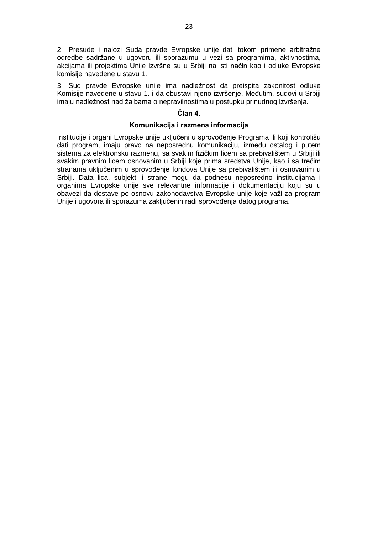2. Presude i nalozi Suda pravde Evropske unije dati tokom primene arbitražne odredbe sadržane u ugovoru ili sporazumu u vezi sa programima, aktivnostima, akcijama ili projektima Unije izvršne su u Srbiji na isti način kao i odluke Evropske komisije navedene u stavu 1.

3. Sud pravde Evropske unije ima nadležnost da preispita zakonitost odluke Komisije navedene u stavu 1. i da obustavi njeno izvršenje. Međutim, sudovi u Srbiji imaju nadležnost nad žalbama o nepravilnostima u postupku prinudnog izvršenja.

## **Član 4.**

## **Komunikacija i razmena informacija**

Institucije i organi Evropske unije uključeni u sprovođenje Programa ili koji kontrolišu dati program, imaju pravo na neposrednu komunikaciju, između ostalog i putem sistema za elektronsku razmenu, sa svakim fizičkim licem sa prebivalištem u Srbiji ili svakim pravnim licem osnovanim u Srbiji koje prima sredstva Unije, kao i sa trećim stranama uključenim u sprovođenje fondova Unije sa prebivalištem ili osnovanim u Srbiji. Data lica, subjekti i strane mogu da podnesu neposredno institucijama i organima Evropske unije sve relevantne informacije i dokumentaciju koju su u obavezi da dostave po osnovu zakonodavstva Evropske unije koje važi za program Unije i ugovora ili sporazuma zaključenih radi sprovođenja datog programa.